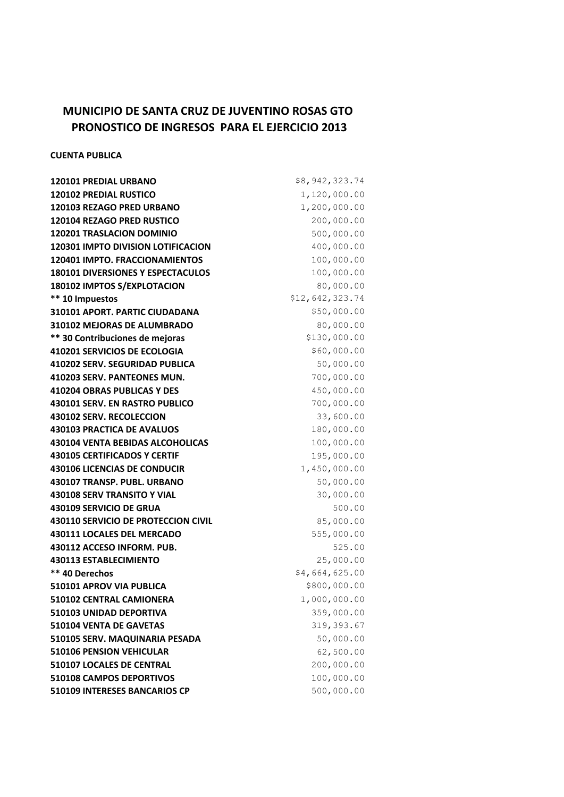# **MUNICIPIO DE SANTA CRUZ DE JUVENTINO ROSAS GTO PRONOSTICO DE INGRESOS PARA EL EJERCICIO 2013**

## **CUENTA PUBLICA**

| 120101 PREDIAL URBANO                     | \$8,942,323.74  |
|-------------------------------------------|-----------------|
| <b>120102 PREDIAL RUSTICO</b>             | 1,120,000.00    |
| 120103 REZAGO PRED URBANO                 | 1,200,000.00    |
| 120104 REZAGO PRED RUSTICO                | 200,000.00      |
| <b>120201 TRASLACION DOMINIO</b>          | 500,000.00      |
| <b>120301 IMPTO DIVISION LOTIFICACION</b> | 400,000.00      |
| <b>120401 IMPTO. FRACCIONAMIENTOS</b>     | 100,000.00      |
| <b>180101 DIVERSIONES Y ESPECTACULOS</b>  | 100,000.00      |
| <b>180102 IMPTOS S/EXPLOTACION</b>        | 80,000.00       |
| ** 10 Impuestos                           | \$12,642,323.74 |
| 310101 APORT, PARTIC CIUDADANA            | \$50,000.00     |
| 310102 MEJORAS DE ALUMBRADO               | 80,000.00       |
| ** 30 Contribuciones de mejoras           | \$130,000.00    |
| <b>410201 SERVICIOS DE ECOLOGIA</b>       | \$60,000.00     |
| 410202 SERV. SEGURIDAD PUBLICA            | 50,000.00       |
| 410203 SERV. PANTEONES MUN.               | 700,000.00      |
| 410204 OBRAS PUBLICAS Y DES               | 450,000.00      |
| 430101 SERV. EN RASTRO PUBLICO            | 700,000.00      |
| 430102 SERV. RECOLECCION                  | 33,600.00       |
| <b>430103 PRACTICA DE AVALUOS</b>         | 180,000.00      |
| <b>430104 VENTA BEBIDAS ALCOHOLICAS</b>   | 100,000.00      |
| <b>430105 CERTIFICADOS Y CERTIF</b>       | 195,000.00      |
| <b>430106 LICENCIAS DE CONDUCIR</b>       | 1,450,000.00    |
| 430107 TRANSP, PUBL, URBANO               | 50,000.00       |
| <b>430108 SERV TRANSITO Y VIAL</b>        | 30,000.00       |
| <b>430109 SERVICIO DE GRUA</b>            | 500.00          |
| 430110 SERVICIO DE PROTECCION CIVIL       | 85,000.00       |
| 430111 LOCALES DEL MERCADO                | 555,000.00      |
| 430112 ACCESO INFORM. PUB.                | 525.00          |
| <b>430113 ESTABLECIMIENTO</b>             | 25,000.00       |
| ** 40 Derechos                            | \$4,664,625.00  |
| 510101 APROV VIA PUBLICA                  | \$800,000.00    |
| 510102 CENTRAL CAMIONERA                  | 1,000,000.00    |
| <b>510103 UNIDAD DEPORTIVA</b>            | 359,000.00      |
| <b>510104 VENTA DE GAVETAS</b>            | 319, 393.67     |
| 510105 SERV. MAQUINARIA PESADA            | 50,000.00       |
| <b>510106 PENSION VEHICULAR</b>           | 62,500.00       |
| <b>510107 LOCALES DE CENTRAL</b>          | 200,000.00      |
| <b>510108 CAMPOS DEPORTIVOS</b>           | 100,000.00      |
| 510109 INTERESES BANCARIOS CP             | 500,000.00      |